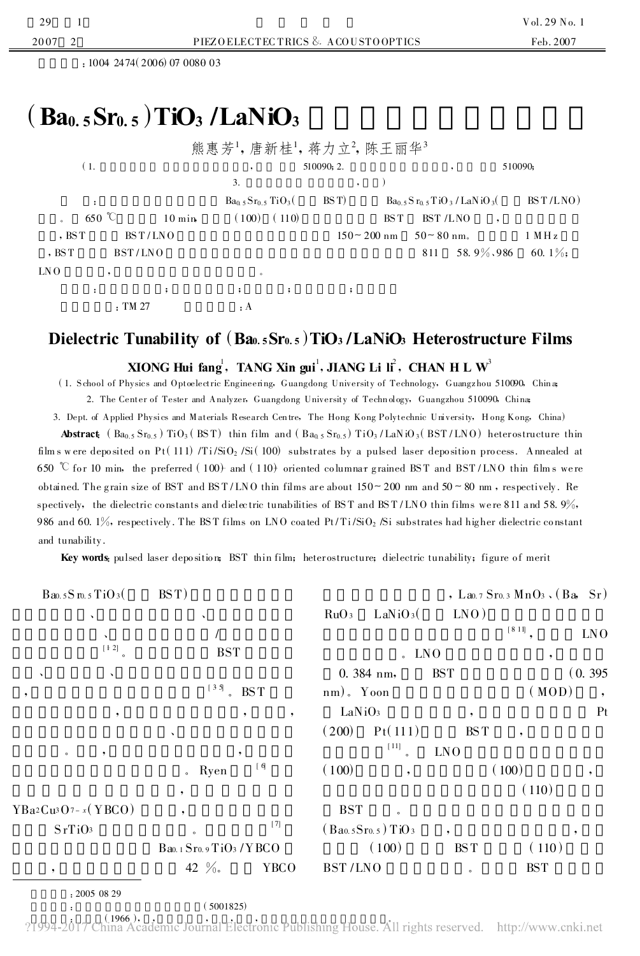Y

: 1004 2474 (2006) 07 0080 03

## $(Ba<sub>0.5</sub>Sr<sub>0.5</sub>)TiO<sub>3</sub>/LaNiO<sub>3</sub>$

|         |                      |                      |                             |                      | 熊惠芳',唐新桂',蒋力立',陈王丽华' |         |               |                          |                     |
|---------|----------------------|----------------------|-----------------------------|----------------------|----------------------|---------|---------------|--------------------------|---------------------|
| (1,     |                      | 510090; 2.           |                             |                      |                      | 510090; |               |                          |                     |
|         |                      |                      | 3.                          |                      |                      |         |               |                          |                     |
|         | $\ddot{\phantom{a}}$ |                      | $Ba_0$ 5 $Sr_0$ 5 $TiO_3$ ( |                      | BS T)                |         |               | $Ba0.5Sr0.5TiO3/LaNiO3($ | BST/LNO)            |
| $\circ$ | $650 \degree$        | $10 \text{ min}$     | (100)                       | (110)                |                      | BS T    | BST /LNO      |                          |                     |
| , BST   | BST/LNO              |                      |                             |                      | $150 - 200$ nm       |         | $50 - 80$ nm. |                          | $1$ MH <sub>z</sub> |
| , $BST$ | BST/LNO              |                      |                             |                      |                      |         | 811           | 58.9%,986                | 60. $1\%$           |
| LN O    |                      |                      | $^{\circ}$                  |                      |                      |         |               |                          |                     |
|         | :                    | $\ddot{\phantom{0}}$ | $\ddot{\cdot}$              | $\ddot{\phantom{1}}$ | ;                    |         |               |                          |                     |
|         | . TM 27              |                      | : A                         |                      |                      |         |               |                          |                     |

## Dielectric Tunability of (Bao. 5Sro. 5) TiO<sub>3</sub>/LaNiO<sub>3</sub> Heterostructure Films

## XIONG Hui fang<sup>1</sup>, TANG Xin gui<sup>1</sup>, JIANG Li li<sup>2</sup>, CHAN H L W<sup>3</sup>

(1. School of Physics and Optoelectric Engineering, Guangdong University of Technology, Guangzhou 510090, China; 2. The Center of Tester and Analyzer, Guangdong University of Technology, Guangzhou 510090, China;

3. Dept. of Applied Physics and Materials Research Centre, The Hong Kong Polytechnic University, Hong Kong, China)

**Abstract** (Ba<sub>0.5</sub> Sr<sub>0.5</sub>) TiO<sub>3</sub> (BST) thin film and (Ba<sub>0.5</sub> Sr<sub>0.5</sub>) TiO<sub>3</sub>/LaNiO<sub>3</sub> (BST/LNO) heterostructure thin films were deposited on Pt(111) /Ti/SiO<sub>2</sub> /Si(100) substrates by a pulsed laser deposition process. Annealed at 650 °C for 10 min, the preferred (100) and (110) oriented columnar grained BST and BST/LNO thin films were obtained. The grain size of BST and BST/LNO thin films are about  $150 - 200$  nm and  $50 - 80$  nm, respectively. Re spectively, the dielectric constants and dielectric tunabilities of BST and BST/LNO thin films were 811 and 58.9%, 986 and 60.  $1\%$ , respectively. The BST films on LNO coated Pt/Ti/SiO<sub>2</sub> /Si substrates had higher dielectric constant and tunability.

Key words, pulsed laser deposition; BST thin film; heterostructure; dielectric tunability; figure of merit

|           | $B$ ao. $5S$ m. $5TiO_3($ | BST)                                 |             |                    |                      |                 | , Lao. 7 Sro. 3 MnO <sub>3</sub> (Ba, Sr) |                 |
|-----------|---------------------------|--------------------------------------|-------------|--------------------|----------------------|-----------------|-------------------------------------------|-----------------|
|           | $\tilde{\phantom{a}}$     | $\lambda$                            |             | RuO <sub>3</sub>   | LaNiO <sub>3</sub> ( | LNO)            |                                           |                 |
|           | $\mathbf{v}$              |                                      |             |                    |                      |                 | $[8\;11]$                                 | LN <sub>O</sub> |
|           | $[4 2]$                   | <b>BST</b>                           |             |                    | $-LNO$               |                 | $\cdot$                                   |                 |
|           | $\lambda$                 |                                      |             |                    | 0.384 nm,            | <b>BST</b>      |                                           | (0.395)         |
| $\bullet$ |                           | $[35]$ BST                           |             | $nm)$ . Yoon       |                      |                 | (MOD)                                     | $\cdot$         |
|           | ,                         | $\cdot$                              | $\cdot$     | LaNiO <sub>3</sub> |                      | $\cdot$         |                                           | Pt              |
|           |                           | $\mathbf{v}$                         |             | (200)              | Pt(111)              | <b>BST</b>      | $\bullet$                                 |                 |
| $\circ$   |                           | ,                                    |             |                    | [11]                 | LN <sub>O</sub> |                                           |                 |
|           |                           | Ryen                                 | [6]         | (100)              | ۰                    |                 | (100)                                     | ,               |
|           |                           | $\cdot$                              |             |                    |                      |                 | (110)                                     |                 |
|           | $Ba2Cu3O7-x(YBCO)$        | $\bullet$                            |             | <b>BST</b>         | $\alpha$             |                 |                                           |                 |
| SrTiO3    |                           | $\circ$                              | $[7]$       |                    | (Ba0.5Sr0.5) TiO3    | $\bullet$       |                                           | ,               |
|           |                           | $B$ ao. 1 $Sr$ o. 9 $TiO$ 3 / $YBCO$ |             |                    | (100)                | BS T            | (110)                                     |                 |
| $\cdot$   |                           | 42 $\frac{9}{6}$ .                   | <b>YBCO</b> | BST/LNO            |                      | $\circ$         | $\operatorname{BST}$                      |                 |
|           | : 2005 08 29              |                                      |             |                    |                      |                 |                                           |                 |
| $\bullet$ |                           | (5001825)                            |             |                    |                      |                 |                                           |                 |

 $(.1966)$ , ?1994-2017 China Academic Journal Electronic Publishing House. All rights reserved. http://www.cnki.net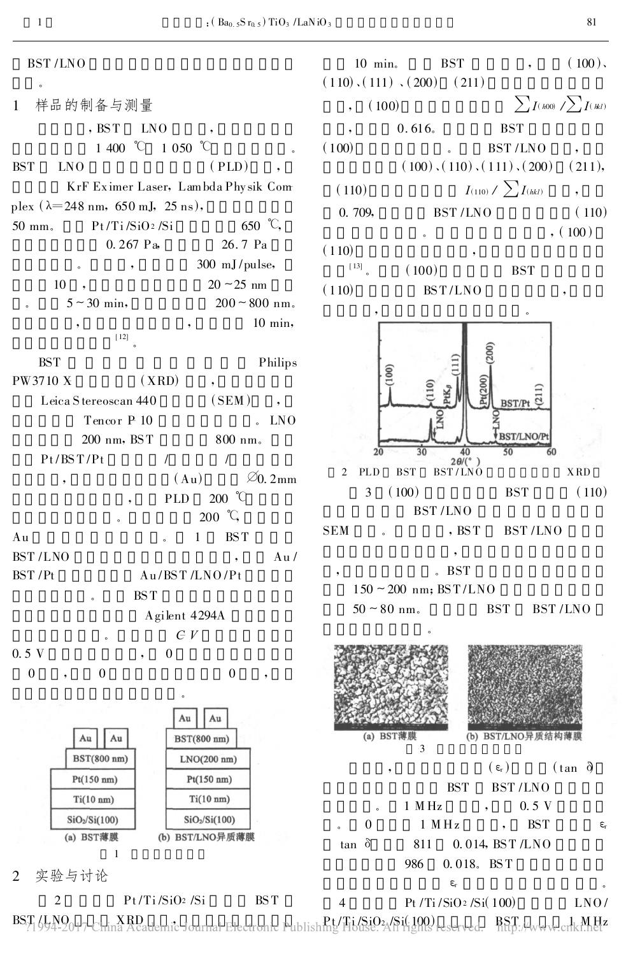

 $, (100)$ 

**BST/Pt** 

**BST/LNO/P**  $50$ 

 $(\epsilon_{\rm r})$  (tan  $\delta$ )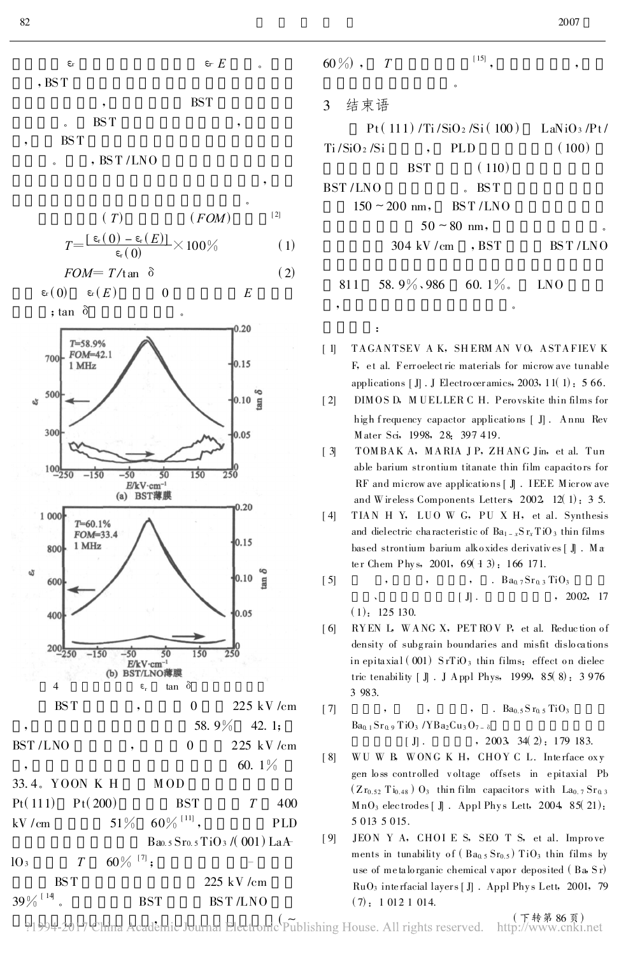$E$   $E$  $\varepsilon$  $, BST$ 

- **BST BST**
- $\ddot{\phantom{0}}$ **BST**
- $, BST/LNO$

$$
(T) \qquad (FOM)^{-1}
$$
  
\n
$$
T = \frac{[\epsilon_{\text{r}}(0) - \epsilon_{\text{r}}(E)]}{\epsilon_{\text{r}}(0)} \times 100\% \qquad (1)
$$

$$
FOM = T/\tan \delta \tag{2}
$$

$$
\varepsilon_{\rm r}(0) \qquad \varepsilon_{\rm r}(E) \qquad \qquad 0 \qquad \qquad E
$$



| 60 $\frac{9}{0}$ , $T$ | $[15]$  |
|------------------------|---------|
|                        | $\circ$ |

 $\ddot{\cdot}$ 

|              |                                     |                     | $Pt(111)/Ti/SiO2/Si(100)$ LaNiO <sub>3</sub> /Pt/ |
|--------------|-------------------------------------|---------------------|---------------------------------------------------|
| Ti /SiO2 /Si | $\overline{\phantom{a}}$            | PLD                 | (100)                                             |
|              | <b>BST</b>                          | (110)               |                                                   |
| BST /LNO     |                                     | $-BST$              |                                                   |
|              | $150 \sim 200 \text{ nm}$ , BST/LNO |                     |                                                   |
|              | $50 \sim 80$ nm,                    |                     | ۰                                                 |
|              | $304 \text{ kV/cm}$ , BST           |                     | BST/LNO                                           |
|              |                                     |                     |                                                   |
| 811          |                                     | 58.9% 986 60.1% INO |                                                   |

- TAGANTSEV AK, SHERMAN VO, ASTAFIEVK  $\lceil$  1 F, et al. Ferroelectric materials for microw ave tunable applications  $\left[\right]$ . J Electroceramics, 2003, 11(1): 566.
- DIMOS D, MUELLER C H. Perovskite thin films for  $\lceil 2 \rceil$ high frequency capactor applications [ J]. Annu Rev Mater Sci, 1998, 28: 397 419.
- $[3]$ TOMBAK A, MARIA JP, ZHANG Jin, et al. Tun able barium strontium titanate thin film capacitors for RF and microw ave applications [ J]. IEEE Microw ave and Wireless Components Letters  $2002$ ,  $12(1)$ : 3 5.
- TIAN H Y, LUO W G, PU X H, et al. Synthesis  $\lceil 4 \rceil$ and dielectric characteristic of  $Ba_{1-x}Sr_xTiO_3$  thin films based strontium barium alkoxides derivatives [ J]. Ma ter Chem Phys, 2001, 69(13): 166 171.
- $[5]$  $\overline{.}$  $Ba_0$  7  $Sr_0$  3  $TiO_3$  $[\ ]$ . , 2002, 17  $(1)$ : 125 130.
- RYEN L, WANG X, PETROV P, et al. Reduction of  $[6]$ density of subgrain boundaries and misfit dislocations in epitaxial (001) SrTiO<sub>3</sub> thin films: effect on dielec tric tenability [ J]. J Appl Phys, 1999, 85(8): 3976 3 983.

7] , , , , , B<sub>80.5</sub> Sr<sub>0.5</sub> TiO<sub>3</sub>  
Ba<sub>0.1</sub> Sr<sub>0.9</sub> TiO<sub>3</sub> /YBa<sub>2</sub>Cu<sub>3</sub>O<sub>7-
$$
\delta
$$
  
[ J]. , 2003, 34( 2): 179 183.</sub>

- WUWB, WONGKH, CHOYCL. Interface oxy  $[8]$ gen loss controlled voltage offsets in epitaxial Pb  $(Zr_{0.52} Ti_{0.48})$   $Q_3$  thin film capacitors with  $La_{0.7} Sr_{0.3}$  $MnO<sub>3</sub>$  electrodes  $\lceil \mathbb{J} \rceil$ . Appl Phys Lett, 2004, 85(21): 5 0 13 5 0 15.
- JEON Y A, CHOI E S, SEO T S, et al. Improve  $[9]$ ments in tunability of  $(Ba_0, Sr_0, s)$  TiO<sub>3</sub> thin films by use of metalorganic chemical vapor deposited (Ba, Sr) RuO<sub>3</sub> interfacial layers [J]. Appl Phys Lett, 2001, 79  $(7): 10121014.$

(下转第86页) ?1994-2017 China Academic Journal Electronic Publishing House. All rights reserved. http://www.cnki.net

 $\overline{1}$